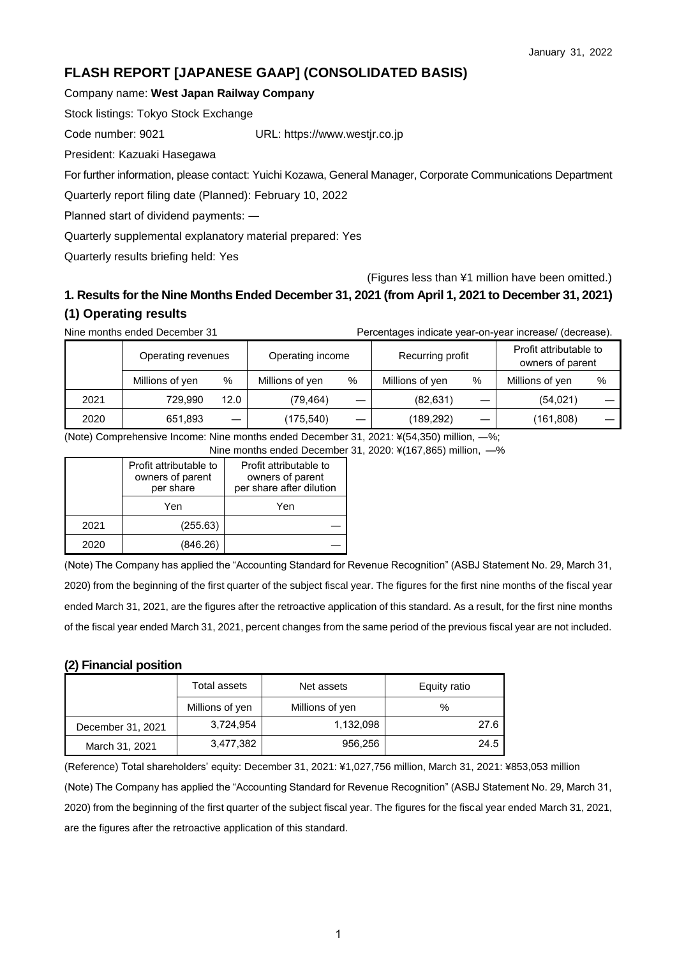# **FLASH REPORT [JAPANESE GAAP] (CONSOLIDATED BASIS)**

### Company name: **West Japan Railway Company**

Stock listings: Tokyo Stock Exchange

Code number: 9021 URL: https://www.westjr.co.jp

President: Kazuaki Hasegawa

For further information, please contact: Yuichi Kozawa, General Manager, Corporate Communications Department

Quarterly report filing date (Planned): February 10, 2022

Planned start of dividend payments: ―

Quarterly supplemental explanatory material prepared: Yes

Quarterly results briefing held: Yes

(Figures less than ¥1 million have been omitted.)

# **1. Results for the Nine Months Ended December 31, 2021 (from April 1, 2021 to December 31, 2021) (1) Operating results**

Nine months ended December 31 Percentages indicate year-on-year increase/ (decrease).

|      | Operating revenues |      | Operating income |      | Recurring profit |   | Profit attributable to<br>owners of parent |   |
|------|--------------------|------|------------------|------|------------------|---|--------------------------------------------|---|
|      | Millions of yen    | %    | Millions of yen  | $\%$ | Millions of yen  | % | Millions of yen                            | % |
| 2021 | 729.990            | 12.0 | (79.464)         | __   | (82, 631)        |   | (54, 021)                                  |   |
| 2020 | 651,893            |      | (175,540)        | _    | (189,292)        | – | (161,808)                                  |   |

(Note) Comprehensive Income: Nine months ended December 31, 2021: ¥(54,350) million, ―%;

Nine months ended December 31, 2020: ¥(167,865) million, ―%

|      | Profit attributable to<br>owners of parent<br>per share | Profit attributable to<br>owners of parent<br>per share after dilution |
|------|---------------------------------------------------------|------------------------------------------------------------------------|
|      | Yen                                                     | Yen                                                                    |
| 2021 | (255.63)                                                |                                                                        |
| 2020 | (846.26)                                                |                                                                        |

(Note) The Company has applied the "Accounting Standard for Revenue Recognition" (ASBJ Statement No. 29, March 31, 2020) from the beginning of the first quarter of the subject fiscal year. The figures for the first nine months of the fiscal year ended March 31, 2021, are the figures after the retroactive application of this standard. As a result, for the first nine months of the fiscal year ended March 31, 2021, percent changes from the same period of the previous fiscal year are not included.

### **(2) Financial position**

|                   | Total assets    | Net assets      | Equity ratio |  |
|-------------------|-----------------|-----------------|--------------|--|
|                   | Millions of yen | Millions of yen | %            |  |
| December 31, 2021 | 3,724,954       | 1,132,098       | 27.6         |  |
| March 31, 2021    | 3,477,382       | 956,256         | 24.5         |  |

(Reference) Total shareholders' equity: December 31, 2021: ¥1,027,756 million, March 31, 2021: ¥853,053 million (Note) The Company has applied the "Accounting Standard for Revenue Recognition" (ASBJ Statement No. 29, March 31, 2020) from the beginning of the first quarter of the subject fiscal year. The figures for the fiscal year ended March 31, 2021, are the figures after the retroactive application of this standard.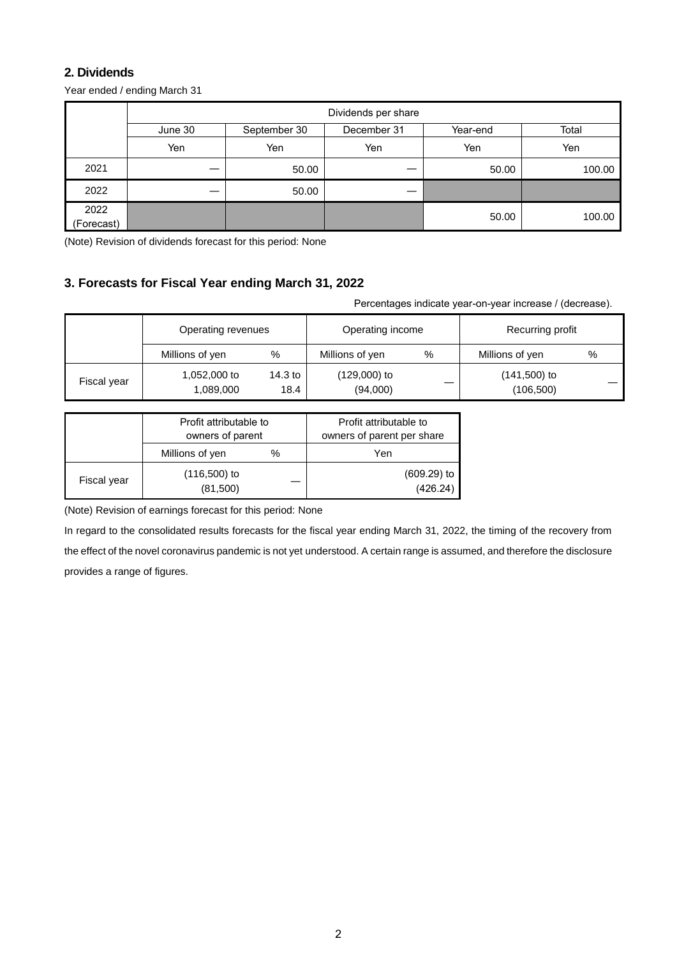## **2. Dividends**

Year ended / ending March 31

|                    | Dividends per share |              |             |          |        |  |  |
|--------------------|---------------------|--------------|-------------|----------|--------|--|--|
|                    | June 30             | September 30 | December 31 | Year-end | Total  |  |  |
|                    | Yen                 | Yen          | Yen         | Yen      | Yen    |  |  |
| 2021               | –                   | 50.00        | __          | 50.00    | 100.00 |  |  |
| 2022               |                     | 50.00        |             |          |        |  |  |
| 2022<br>(Forecast) |                     |              |             | 50.00    | 100.00 |  |  |

(Note) Revision of dividends forecast for this period: None

# **3. Forecasts for Fiscal Year ending March 31, 2022**

Percentages indicate year-on-year increase / (decrease).

|             | Operating revenues        |                 | Operating income           |   | Recurring profit             |   |
|-------------|---------------------------|-----------------|----------------------------|---|------------------------------|---|
|             | Millions of yen           | %               | Millions of yen            | % | Millions of yen              | % |
| Fiscal year | 1,052,000 to<br>1,089,000 | 14.3 to<br>18.4 | $(129,000)$ to<br>(94,000) |   | $(141,500)$ to<br>(106, 500) |   |

|             | Profit attributable to<br>owners of parent |   | Profit attributable to<br>owners of parent per share |  |
|-------------|--------------------------------------------|---|------------------------------------------------------|--|
|             | Millions of yen                            | % | Yen                                                  |  |
| Fiscal year | $(116,500)$ to<br>(81,500)                 |   | $(609.29)$ to<br>(426.24)                            |  |

(Note) Revision of earnings forecast for this period: None

In regard to the consolidated results forecasts for the fiscal year ending March 31, 2022, the timing of the recovery from the effect of the novel coronavirus pandemic is not yet understood. A certain range is assumed, and therefore the disclosure provides a range of figures.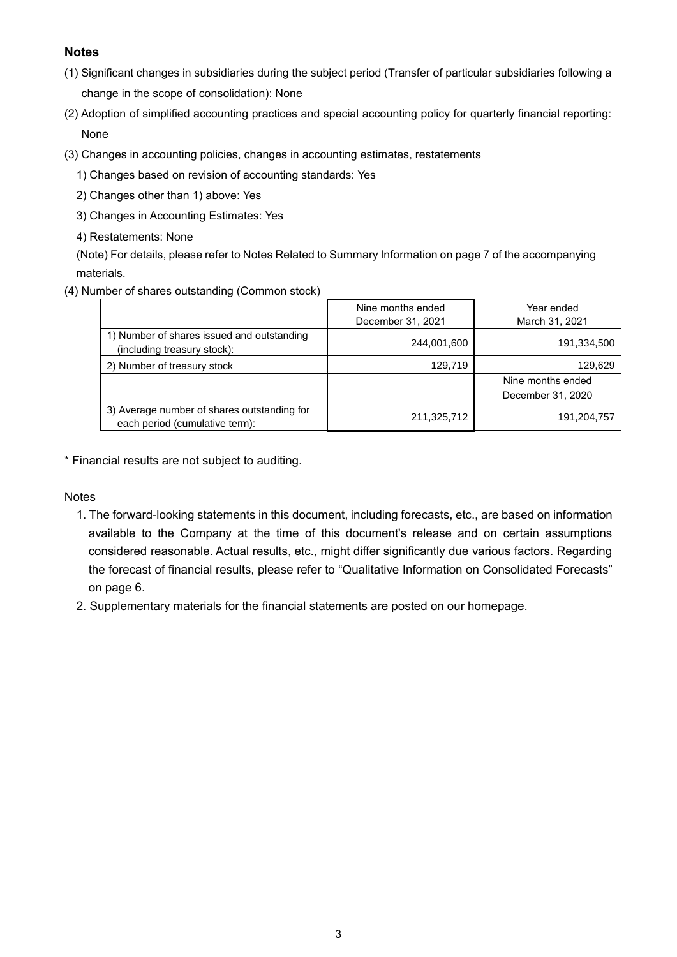# **Notes**

- (1) Significant changes in subsidiaries during the subject period (Transfer of particular subsidiaries following a change in the scope of consolidation): None
- (2) Adoption of simplified accounting practices and special accounting policy for quarterly financial reporting: None
- (3) Changes in accounting policies, changes in accounting estimates, restatements
	- 1) Changes based on revision of accounting standards: Yes
	- 2) Changes other than 1) above: Yes
	- 3) Changes in Accounting Estimates: Yes
	- 4) Restatements: None

(Note) For details, please refer to Notes Related to Summary Information on page 7 of the accompanying materials.

(4) Number of shares outstanding (Common stock)

|                                                                               | Nine months ended<br>December 31, 2021 | Year ended<br>March 31, 2021 |
|-------------------------------------------------------------------------------|----------------------------------------|------------------------------|
| 1) Number of shares issued and outstanding<br>(including treasury stock):     | 244,001,600                            | 191,334,500                  |
| 2) Number of treasury stock                                                   | 129,719                                | 129,629                      |
|                                                                               |                                        | Nine months ended            |
|                                                                               |                                        | December 31, 2020            |
| 3) Average number of shares outstanding for<br>each period (cumulative term): | 211,325,712                            | 191,204,757                  |

\* Financial results are not subject to auditing.

**Notes** 

- 1. The forward-looking statements in this document, including forecasts, etc., are based on information available to the Company at the time of this document's release and on certain assumptions considered reasonable. Actual results, etc., might differ significantly due various factors. Regarding the forecast of financial results, please refer to "Qualitative Information on Consolidated Forecasts" on page 6.
- 2. Supplementary materials for the financial statements are posted on our homepage.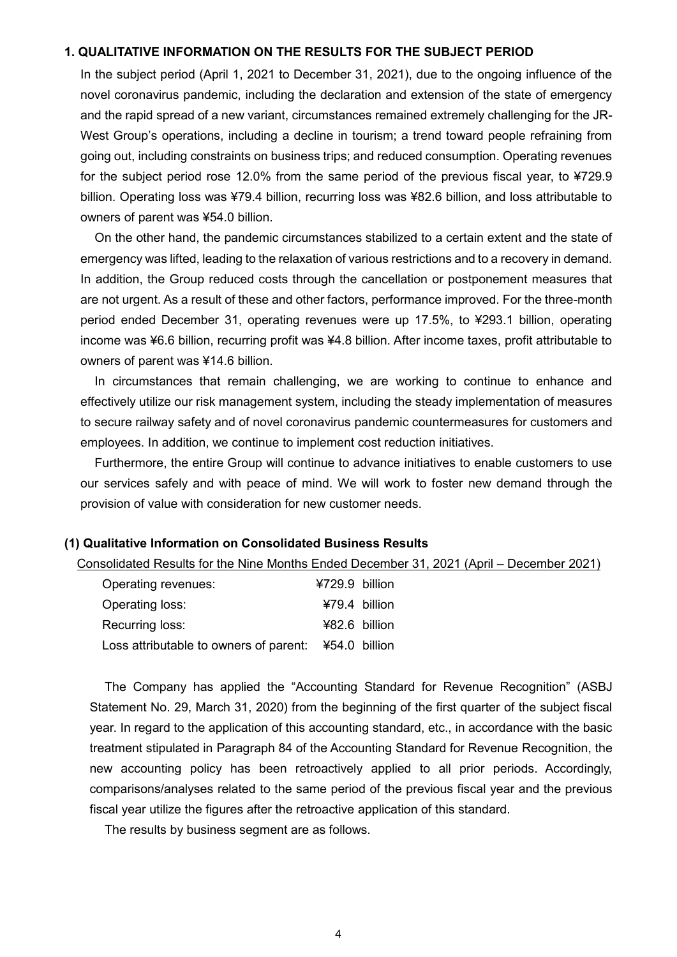### **1. QUALITATIVE INFORMATION ON THE RESULTS FOR THE SUBJECT PERIOD**

In the subject period (April 1, 2021 to December 31, 2021), due to the ongoing influence of the novel coronavirus pandemic, including the declaration and extension of the state of emergency and the rapid spread of a new variant, circumstances remained extremely challenging for the JR-West Group's operations, including a decline in tourism; a trend toward people refraining from going out, including constraints on business trips; and reduced consumption. Operating revenues for the subject period rose 12.0% from the same period of the previous fiscal year, to ¥729.9 billion. Operating loss was ¥79.4 billion, recurring loss was ¥82.6 billion, and loss attributable to owners of parent was ¥54.0 billion.

On the other hand, the pandemic circumstances stabilized to a certain extent and the state of emergency was lifted, leading to the relaxation of various restrictions and to a recovery in demand. In addition, the Group reduced costs through the cancellation or postponement measures that are not urgent. As a result of these and other factors, performance improved. For the three-month period ended December 31, operating revenues were up 17.5%, to ¥293.1 billion, operating income was ¥6.6 billion, recurring profit was ¥4.8 billion. After income taxes, profit attributable to owners of parent was ¥14.6 billion.

In circumstances that remain challenging, we are working to continue to enhance and effectively utilize our risk management system, including the steady implementation of measures to secure railway safety and of novel coronavirus pandemic countermeasures for customers and employees. In addition, we continue to implement cost reduction initiatives.

Furthermore, the entire Group will continue to advance initiatives to enable customers to use our services safely and with peace of mind. We will work to foster new demand through the provision of value with consideration for new customer needs.

### **(1) Qualitative Information on Consolidated Business Results**

Consolidated Results for the Nine Months Ended December 31, 2021 (April – December 2021)

| Operating revenues:                                  | ¥729.9 billion  |  |
|------------------------------------------------------|-----------------|--|
| Operating loss:                                      | $479.4$ billion |  |
| Recurring loss:                                      | $482.6$ billion |  |
| Loss attributable to owners of parent: ¥54.0 billion |                 |  |

The Company has applied the "Accounting Standard for Revenue Recognition" (ASBJ Statement No. 29, March 31, 2020) from the beginning of the first quarter of the subject fiscal year. In regard to the application of this accounting standard, etc., in accordance with the basic treatment stipulated in Paragraph 84 of the Accounting Standard for Revenue Recognition, the new accounting policy has been retroactively applied to all prior periods. Accordingly, comparisons/analyses related to the same period of the previous fiscal year and the previous fiscal year utilize the figures after the retroactive application of this standard.

The results by business segment are as follows.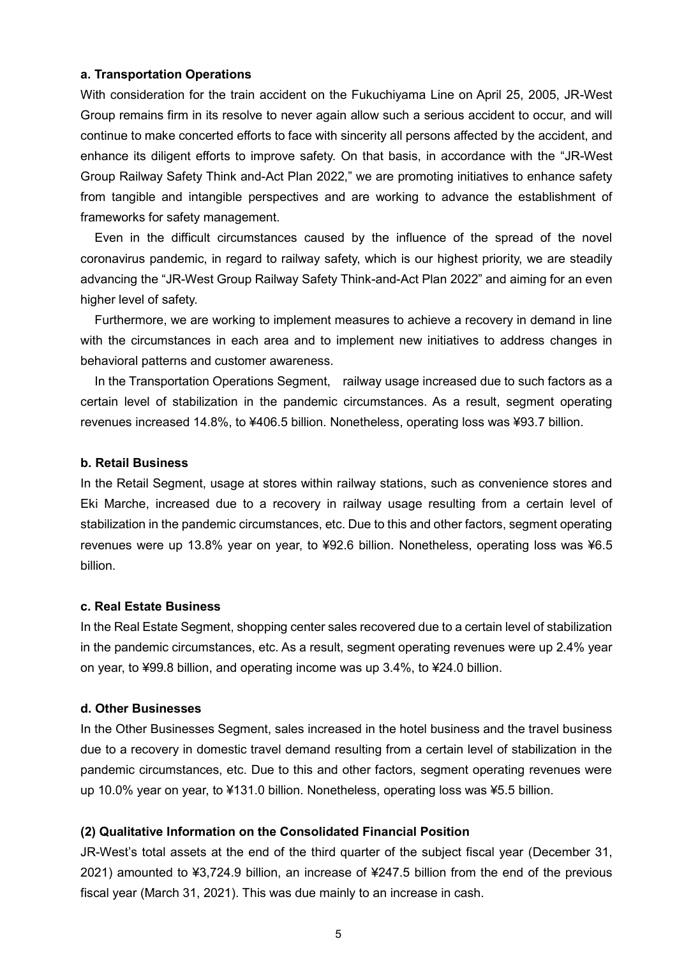### **a. Transportation Operations**

With consideration for the train accident on the Fukuchiyama Line on April 25, 2005, JR-West Group remains firm in its resolve to never again allow such a serious accident to occur, and will continue to make concerted efforts to face with sincerity all persons affected by the accident, and enhance its diligent efforts to improve safety. On that basis, in accordance with the "JR-West Group Railway Safety Think and-Act Plan 2022," we are promoting initiatives to enhance safety from tangible and intangible perspectives and are working to advance the establishment of frameworks for safety management.

Even in the difficult circumstances caused by the influence of the spread of the novel coronavirus pandemic, in regard to railway safety, which is our highest priority, we are steadily advancing the "JR-West Group Railway Safety Think-and-Act Plan 2022" and aiming for an even higher level of safety.

Furthermore, we are working to implement measures to achieve a recovery in demand in line with the circumstances in each area and to implement new initiatives to address changes in behavioral patterns and customer awareness.

In the Transportation Operations Segment, railway usage increased due to such factors as a certain level of stabilization in the pandemic circumstances. As a result, segment operating revenues increased 14.8%, to ¥406.5 billion. Nonetheless, operating loss was ¥93.7 billion.

### **b. Retail Business**

In the Retail Segment, usage at stores within railway stations, such as convenience stores and Eki Marche, increased due to a recovery in railway usage resulting from a certain level of stabilization in the pandemic circumstances, etc. Due to this and other factors, segment operating revenues were up 13.8% year on year, to ¥92.6 billion. Nonetheless, operating loss was ¥6.5 billion.

### **c. Real Estate Business**

In the Real Estate Segment, shopping center sales recovered due to a certain level of stabilization in the pandemic circumstances, etc. As a result, segment operating revenues were up 2.4% year on year, to ¥99.8 billion, and operating income was up 3.4%, to ¥24.0 billion.

### **d. Other Businesses**

In the Other Businesses Segment, sales increased in the hotel business and the travel business due to a recovery in domestic travel demand resulting from a certain level of stabilization in the pandemic circumstances, etc. Due to this and other factors, segment operating revenues were up 10.0% year on year, to ¥131.0 billion. Nonetheless, operating loss was ¥5.5 billion.

### **(2) Qualitative Information on the Consolidated Financial Position**

JR-West's total assets at the end of the third quarter of the subject fiscal year (December 31, 2021) amounted to ¥3,724.9 billion, an increase of ¥247.5 billion from the end of the previous fiscal year (March 31, 2021). This was due mainly to an increase in cash.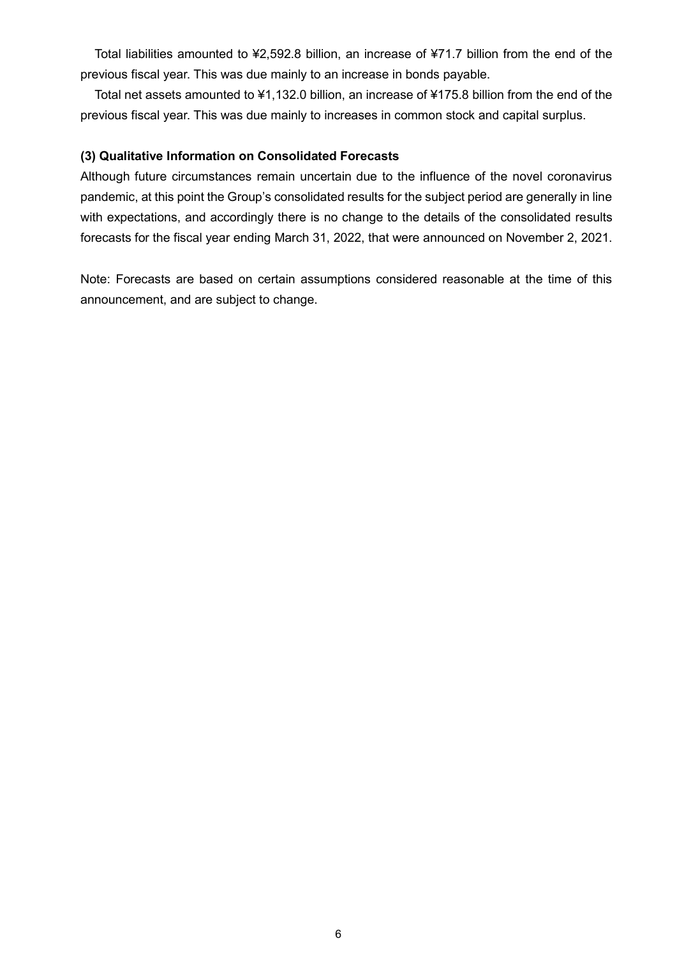Total liabilities amounted to ¥2,592.8 billion, an increase of ¥71.7 billion from the end of the previous fiscal year. This was due mainly to an increase in bonds payable.

Total net assets amounted to ¥1,132.0 billion, an increase of ¥175.8 billion from the end of the previous fiscal year. This was due mainly to increases in common stock and capital surplus.

### **(3) Qualitative Information on Consolidated Forecasts**

Although future circumstances remain uncertain due to the influence of the novel coronavirus pandemic, at this point the Group's consolidated results for the subject period are generally in line with expectations, and accordingly there is no change to the details of the consolidated results forecasts for the fiscal year ending March 31, 2022, that were announced on November 2, 2021.

Note: Forecasts are based on certain assumptions considered reasonable at the time of this announcement, and are subject to change.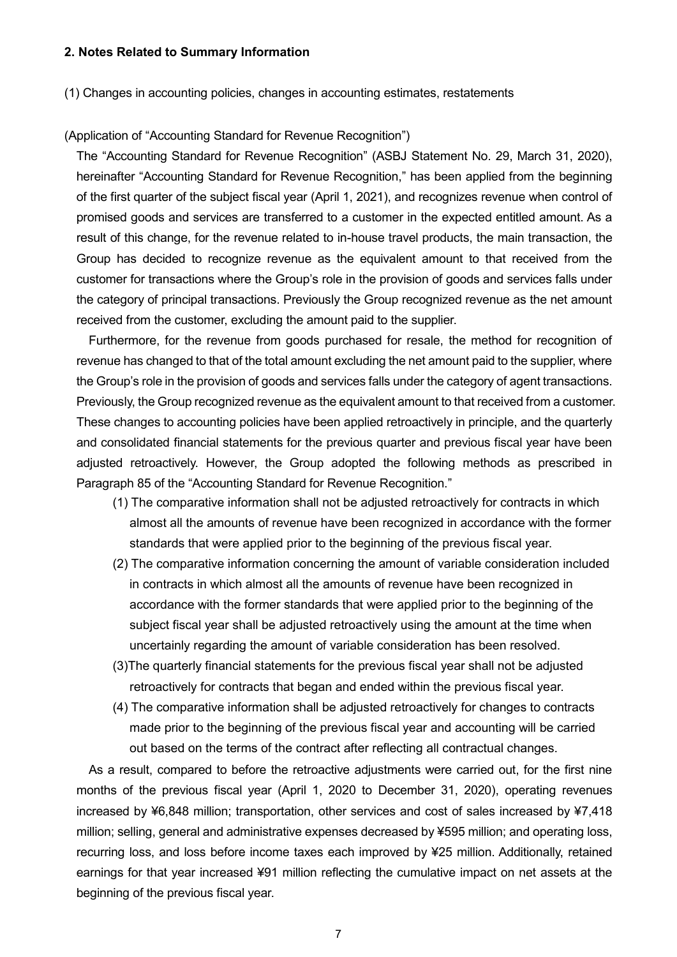### **2. Notes Related to Summary Information**

### (1) Changes in accounting policies, changes in accounting estimates, restatements

### (Application of "Accounting Standard for Revenue Recognition")

The "Accounting Standard for Revenue Recognition" (ASBJ Statement No. 29, March 31, 2020), hereinafter "Accounting Standard for Revenue Recognition," has been applied from the beginning of the first quarter of the subject fiscal year (April 1, 2021), and recognizes revenue when control of promised goods and services are transferred to a customer in the expected entitled amount. As a result of this change, for the revenue related to in-house travel products, the main transaction, the Group has decided to recognize revenue as the equivalent amount to that received from the customer for transactions where the Group's role in the provision of goods and services falls under the category of principal transactions. Previously the Group recognized revenue as the net amount received from the customer, excluding the amount paid to the supplier.

Furthermore, for the revenue from goods purchased for resale, the method for recognition of revenue has changed to that of the total amount excluding the net amount paid to the supplier, where the Group's role in the provision of goods and services falls under the category of agent transactions. Previously, the Group recognized revenue as the equivalent amount to that received from a customer. These changes to accounting policies have been applied retroactively in principle, and the quarterly and consolidated financial statements for the previous quarter and previous fiscal year have been adjusted retroactively. However, the Group adopted the following methods as prescribed in Paragraph 85 of the "Accounting Standard for Revenue Recognition."

- (1) The comparative information shall not be adjusted retroactively for contracts in which almost all the amounts of revenue have been recognized in accordance with the former standards that were applied prior to the beginning of the previous fiscal year.
- (2) The comparative information concerning the amount of variable consideration included in contracts in which almost all the amounts of revenue have been recognized in accordance with the former standards that were applied prior to the beginning of the subject fiscal year shall be adjusted retroactively using the amount at the time when uncertainly regarding the amount of variable consideration has been resolved.
- (3)The quarterly financial statements for the previous fiscal year shall not be adjusted retroactively for contracts that began and ended within the previous fiscal year.
- (4) The comparative information shall be adjusted retroactively for changes to contracts made prior to the beginning of the previous fiscal year and accounting will be carried out based on the terms of the contract after reflecting all contractual changes.

As a result, compared to before the retroactive adjustments were carried out, for the first nine months of the previous fiscal year (April 1, 2020 to December 31, 2020), operating revenues increased by ¥6,848 million; transportation, other services and cost of sales increased by ¥7,418 million; selling, general and administrative expenses decreased by ¥595 million; and operating loss, recurring loss, and loss before income taxes each improved by ¥25 million. Additionally, retained earnings for that year increased ¥91 million reflecting the cumulative impact on net assets at the beginning of the previous fiscal year.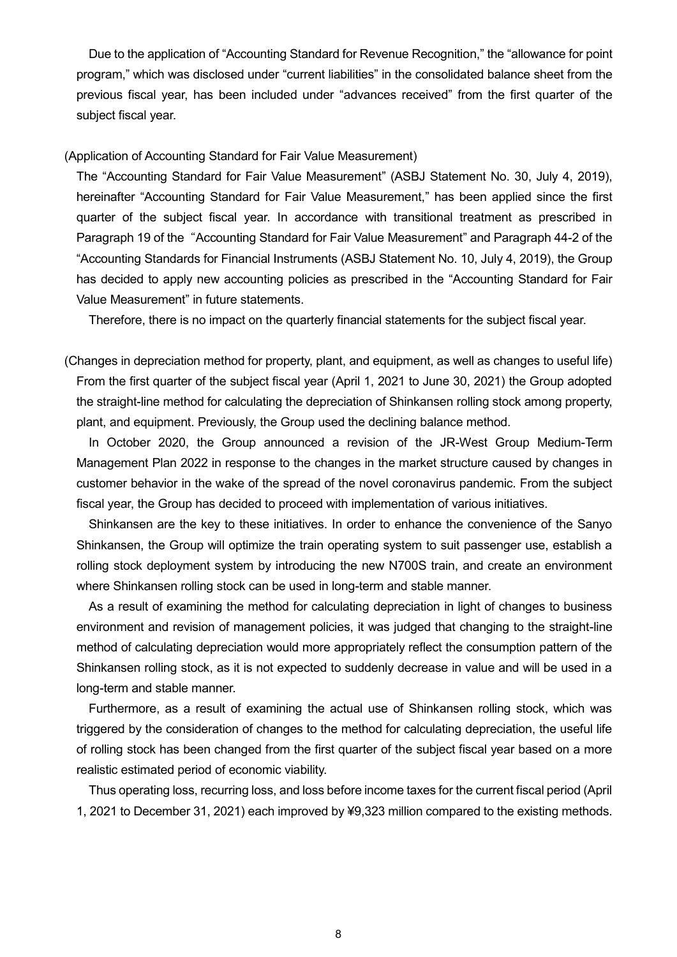Due to the application of "Accounting Standard for Revenue Recognition," the "allowance for point program," which was disclosed under "current liabilities" in the consolidated balance sheet from the previous fiscal year, has been included under "advances received" from the first quarter of the subject fiscal year.

### (Application of Accounting Standard for Fair Value Measurement)

The "Accounting Standard for Fair Value Measurement" (ASBJ Statement No. 30, July 4, 2019), hereinafter "Accounting Standard for Fair Value Measurement," has been applied since the first quarter of the subject fiscal year. In accordance with transitional treatment as prescribed in Paragraph 19 of the "Accounting Standard for Fair Value Measurement" and Paragraph 44-2 of the "Accounting Standards for Financial Instruments (ASBJ Statement No. 10, July 4, 2019), the Group has decided to apply new accounting policies as prescribed in the "Accounting Standard for Fair Value Measurement" in future statements.

Therefore, there is no impact on the quarterly financial statements for the subject fiscal year.

(Changes in depreciation method for property, plant, and equipment, as well as changes to useful life) From the first quarter of the subject fiscal year (April 1, 2021 to June 30, 2021) the Group adopted the straight-line method for calculating the depreciation of Shinkansen rolling stock among property, plant, and equipment. Previously, the Group used the declining balance method.

In October 2020, the Group announced a revision of the JR-West Group Medium-Term Management Plan 2022 in response to the changes in the market structure caused by changes in customer behavior in the wake of the spread of the novel coronavirus pandemic. From the subject fiscal year, the Group has decided to proceed with implementation of various initiatives.

Shinkansen are the key to these initiatives. In order to enhance the convenience of the Sanyo Shinkansen, the Group will optimize the train operating system to suit passenger use, establish a rolling stock deployment system by introducing the new N700S train, and create an environment where Shinkansen rolling stock can be used in long-term and stable manner.

As a result of examining the method for calculating depreciation in light of changes to business environment and revision of management policies, it was judged that changing to the straight-line method of calculating depreciation would more appropriately reflect the consumption pattern of the Shinkansen rolling stock, as it is not expected to suddenly decrease in value and will be used in a long-term and stable manner.

Furthermore, as a result of examining the actual use of Shinkansen rolling stock, which was triggered by the consideration of changes to the method for calculating depreciation, the useful life of rolling stock has been changed from the first quarter of the subject fiscal year based on a more realistic estimated period of economic viability.

Thus operating loss, recurring loss, and loss before income taxes for the current fiscal period (April 1, 2021 to December 31, 2021) each improved by ¥9,323 million compared to the existing methods.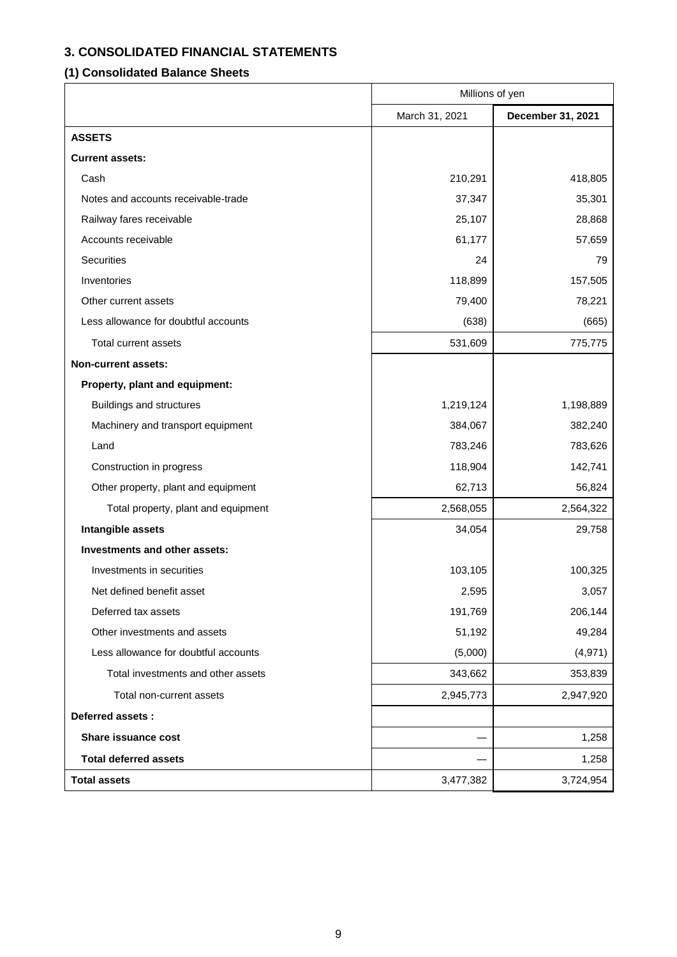# **3. CONSOLIDATED FINANCIAL STATEMENTS**

# **(1) Consolidated Balance Sheets**

|                                      | Millions of yen |                   |  |
|--------------------------------------|-----------------|-------------------|--|
|                                      | March 31, 2021  | December 31, 2021 |  |
| <b>ASSETS</b>                        |                 |                   |  |
| <b>Current assets:</b>               |                 |                   |  |
| Cash                                 | 210,291         | 418,805           |  |
| Notes and accounts receivable-trade  | 37,347          | 35,301            |  |
| Railway fares receivable             | 25,107          | 28,868            |  |
| Accounts receivable                  | 61,177          | 57,659            |  |
| Securities                           | 24              | 79                |  |
| Inventories                          | 118,899         | 157,505           |  |
| Other current assets                 | 79,400          | 78,221            |  |
| Less allowance for doubtful accounts | (638)           | (665)             |  |
| Total current assets                 | 531,609         | 775,775           |  |
| Non-current assets:                  |                 |                   |  |
| Property, plant and equipment:       |                 |                   |  |
| Buildings and structures             | 1,219,124       | 1,198,889         |  |
| Machinery and transport equipment    | 384,067         | 382,240           |  |
| Land                                 | 783,246         | 783,626           |  |
| Construction in progress             | 118,904         | 142,741           |  |
| Other property, plant and equipment  | 62,713          | 56,824            |  |
| Total property, plant and equipment  | 2,568,055       | 2,564,322         |  |
| Intangible assets                    | 34,054          | 29,758            |  |
| Investments and other assets:        |                 |                   |  |
| Investments in securities            | 103,105         | 100,325           |  |
| Net defined benefit asset            | 2,595           | 3,057             |  |
| Deferred tax assets                  | 191,769         | 206,144           |  |
| Other investments and assets         | 51,192          | 49,284            |  |
| Less allowance for doubtful accounts | (5,000)         | (4, 971)          |  |
| Total investments and other assets   | 343,662         | 353,839           |  |
| Total non-current assets             | 2,945,773       | 2,947,920         |  |
| <b>Deferred assets:</b>              |                 |                   |  |
| Share issuance cost                  |                 | 1,258             |  |
| <b>Total deferred assets</b>         |                 | 1,258             |  |
| <b>Total assets</b>                  | 3,477,382       | 3,724,954         |  |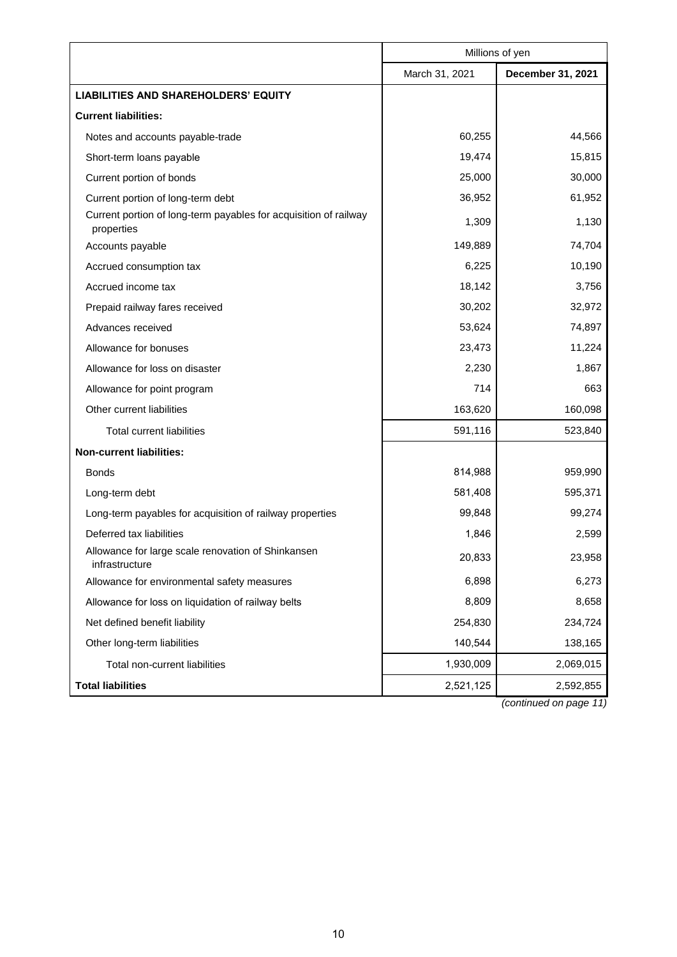|                                                                                | Millions of yen |                   |
|--------------------------------------------------------------------------------|-----------------|-------------------|
|                                                                                | March 31, 2021  | December 31, 2021 |
| <b>LIABILITIES AND SHAREHOLDERS' EQUITY</b>                                    |                 |                   |
| <b>Current liabilities:</b>                                                    |                 |                   |
| Notes and accounts payable-trade                                               | 60,255          | 44,566            |
| Short-term loans payable                                                       | 19,474          | 15,815            |
| Current portion of bonds                                                       | 25,000          | 30,000            |
| Current portion of long-term debt                                              | 36,952          | 61,952            |
| Current portion of long-term payables for acquisition of railway<br>properties | 1,309           | 1,130             |
| Accounts payable                                                               | 149,889         | 74,704            |
| Accrued consumption tax                                                        | 6,225           | 10,190            |
| Accrued income tax                                                             | 18,142          | 3,756             |
| Prepaid railway fares received                                                 | 30,202          | 32,972            |
| Advances received                                                              | 53,624          | 74,897            |
| Allowance for bonuses                                                          | 23,473          | 11,224            |
| Allowance for loss on disaster                                                 | 2,230           | 1,867             |
| Allowance for point program                                                    | 714             | 663               |
| Other current liabilities                                                      | 163,620         | 160,098           |
| <b>Total current liabilities</b>                                               | 591,116         | 523,840           |
| <b>Non-current liabilities:</b>                                                |                 |                   |
| <b>Bonds</b>                                                                   | 814,988         | 959,990           |
| Long-term debt                                                                 | 581,408         | 595,371           |
| Long-term payables for acquisition of railway properties                       | 99,848          | 99,274            |
| Deferred tax liabilities                                                       | 1,846           | 2,599             |
| Allowance for large scale renovation of Shinkansen<br>infrastructure           | 20,833          | 23,958            |
| Allowance for environmental safety measures                                    | 6,898           | 6,273             |
| Allowance for loss on liquidation of railway belts                             | 8,809           | 8,658             |
| Net defined benefit liability                                                  | 254,830         | 234,724           |
| Other long-term liabilities                                                    | 140,544         | 138,165           |
| Total non-current liabilities                                                  | 1,930,009       | 2,069,015         |
| <b>Total liabilities</b>                                                       | 2,521,125       | 2,592,855         |

*(continued on page 11)*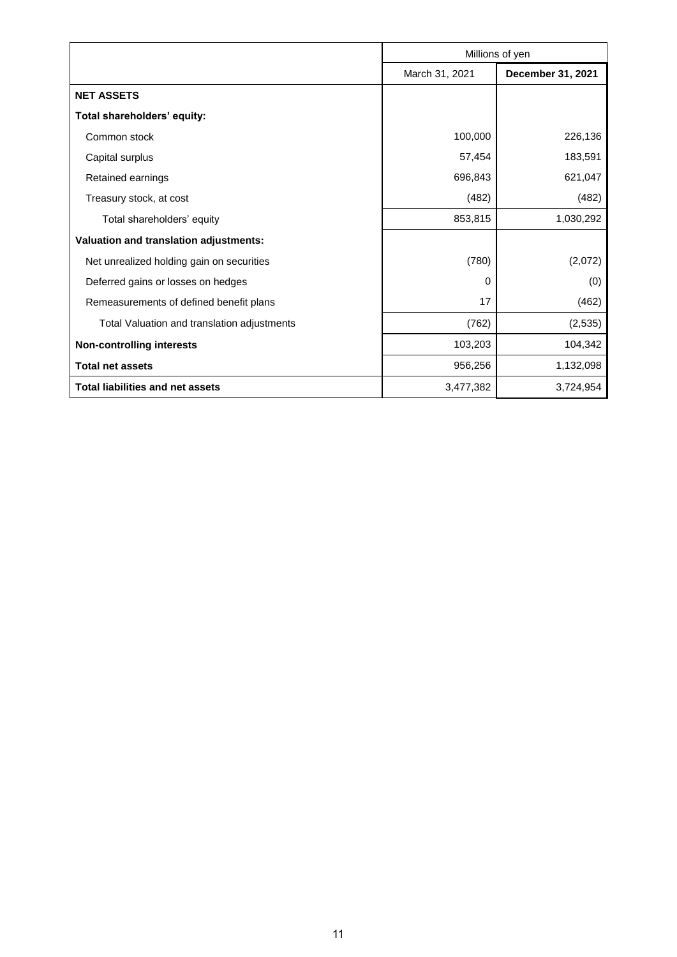|                                             | Millions of yen |                   |
|---------------------------------------------|-----------------|-------------------|
|                                             | March 31, 2021  | December 31, 2021 |
| <b>NET ASSETS</b>                           |                 |                   |
| Total shareholders' equity:                 |                 |                   |
| Common stock                                | 100,000         | 226,136           |
| Capital surplus                             | 57,454          | 183,591           |
| Retained earnings                           | 696,843         | 621,047           |
| Treasury stock, at cost                     | (482)           | (482)             |
| Total shareholders' equity                  | 853,815         | 1,030,292         |
| Valuation and translation adjustments:      |                 |                   |
| Net unrealized holding gain on securities   | (780)           | (2,072)           |
| Deferred gains or losses on hedges          | 0               | (0)               |
| Remeasurements of defined benefit plans     | 17              | (462)             |
| Total Valuation and translation adjustments | (762)           | (2,535)           |
| <b>Non-controlling interests</b>            | 103,203         | 104,342           |
| <b>Total net assets</b>                     | 956,256         | 1,132,098         |
| <b>Total liabilities and net assets</b>     | 3,477,382       | 3,724,954         |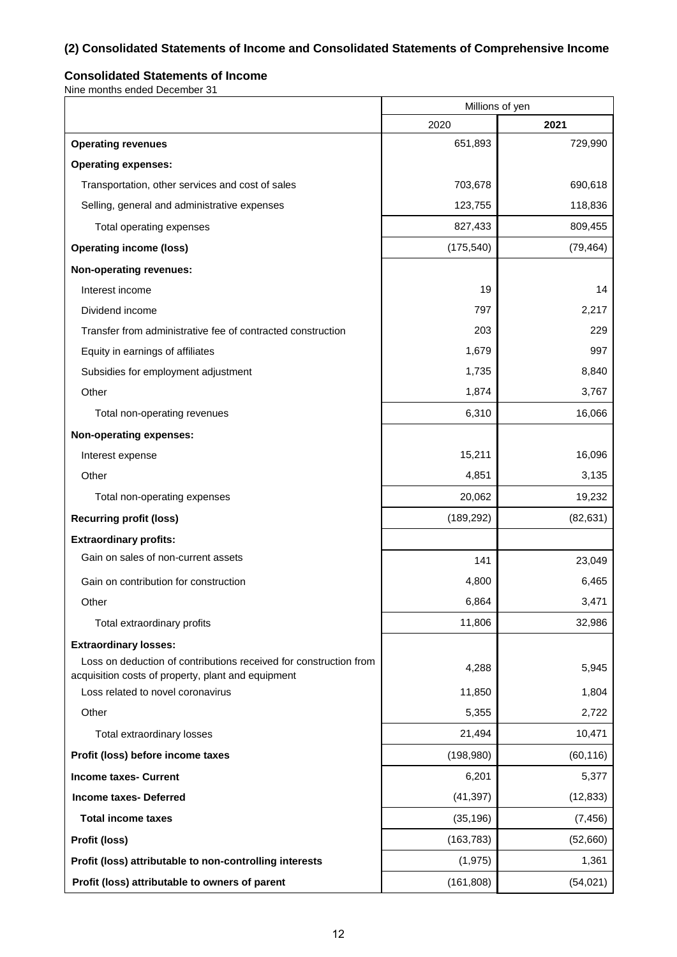# **(2) Consolidated Statements of Income and Consolidated Statements of Comprehensive Income**

### **Consolidated Statements of Income**

Nine months ended December 31

|                                                                                                                         | Millions of yen |           |
|-------------------------------------------------------------------------------------------------------------------------|-----------------|-----------|
|                                                                                                                         | 2020            | 2021      |
| <b>Operating revenues</b>                                                                                               | 651,893         | 729,990   |
| <b>Operating expenses:</b>                                                                                              |                 |           |
| Transportation, other services and cost of sales                                                                        | 703,678         | 690,618   |
| Selling, general and administrative expenses                                                                            | 123,755         | 118,836   |
| Total operating expenses                                                                                                | 827,433         | 809,455   |
| <b>Operating income (loss)</b>                                                                                          | (175, 540)      | (79, 464) |
| <b>Non-operating revenues:</b>                                                                                          |                 |           |
| Interest income                                                                                                         | 19              | 14        |
| Dividend income                                                                                                         | 797             | 2,217     |
| Transfer from administrative fee of contracted construction                                                             | 203             | 229       |
| Equity in earnings of affiliates                                                                                        | 1,679           | 997       |
| Subsidies for employment adjustment                                                                                     | 1,735           | 8,840     |
| Other                                                                                                                   | 1,874           | 3,767     |
| Total non-operating revenues                                                                                            | 6,310           | 16,066    |
| <b>Non-operating expenses:</b>                                                                                          |                 |           |
| Interest expense                                                                                                        | 15,211          | 16,096    |
| Other                                                                                                                   | 4,851           | 3,135     |
| Total non-operating expenses                                                                                            | 20,062          | 19,232    |
| <b>Recurring profit (loss)</b>                                                                                          | (189, 292)      | (82, 631) |
| <b>Extraordinary profits:</b>                                                                                           |                 |           |
| Gain on sales of non-current assets                                                                                     | 141             | 23,049    |
| Gain on contribution for construction                                                                                   | 4,800           | 6,465     |
| Other                                                                                                                   | 6,864           | 3,471     |
| Total extraordinary profits                                                                                             | 11,806          | 32,986    |
| <b>Extraordinary losses:</b>                                                                                            |                 |           |
| Loss on deduction of contributions received for construction from<br>acquisition costs of property, plant and equipment | 4,288           | 5,945     |
| Loss related to novel coronavirus                                                                                       | 11,850          | 1,804     |
| Other                                                                                                                   | 5,355           | 2,722     |
| Total extraordinary losses                                                                                              | 21,494          | 10,471    |
| Profit (loss) before income taxes                                                                                       | (198, 980)      | (60, 116) |
| <b>Income taxes- Current</b>                                                                                            | 6,201           | 5,377     |
| <b>Income taxes- Deferred</b>                                                                                           | (41, 397)       | (12, 833) |
| <b>Total income taxes</b>                                                                                               | (35, 196)       | (7, 456)  |
| Profit (loss)                                                                                                           | (163, 783)      | (52,660)  |
| Profit (loss) attributable to non-controlling interests                                                                 | (1, 975)        | 1,361     |
| Profit (loss) attributable to owners of parent                                                                          | (161, 808)      | (54, 021) |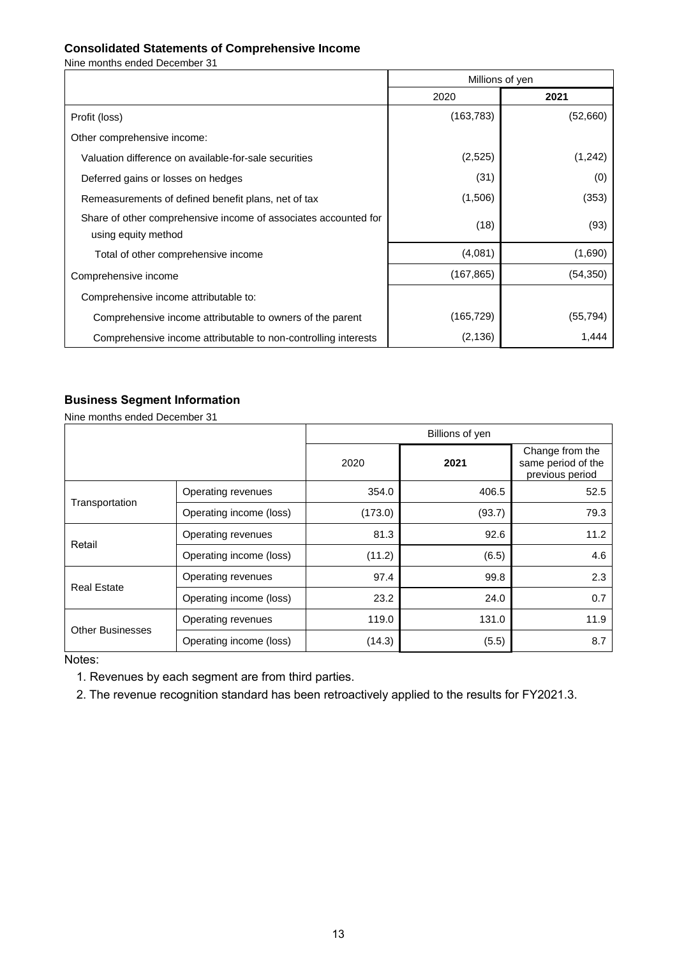### **Consolidated Statements of Comprehensive Income**

Nine months ended December 31

|                                                                                        | Millions of yen |           |  |
|----------------------------------------------------------------------------------------|-----------------|-----------|--|
|                                                                                        | 2020            | 2021      |  |
| Profit (loss)                                                                          | (163, 783)      | (52,660)  |  |
| Other comprehensive income:                                                            |                 |           |  |
| Valuation difference on available-for-sale securities                                  | (2,525)         | (1,242)   |  |
| Deferred gains or losses on hedges                                                     | (31)            | (0)       |  |
| Remeasurements of defined benefit plans, net of tax                                    | (1,506)         | (353)     |  |
| Share of other comprehensive income of associates accounted for<br>using equity method | (18)            | (93)      |  |
| Total of other comprehensive income                                                    | (4,081)         | (1,690)   |  |
| Comprehensive income                                                                   | (167, 865)      | (54, 350) |  |
| Comprehensive income attributable to:                                                  |                 |           |  |
| Comprehensive income attributable to owners of the parent                              | (165,729)       | (55, 794) |  |
| Comprehensive income attributable to non-controlling interests                         | (2, 136)        | 1,444     |  |

### **Business Segment Information**

Nine months ended December 31

|                         |                         | Billions of yen |        |                                                          |  |  |
|-------------------------|-------------------------|-----------------|--------|----------------------------------------------------------|--|--|
|                         |                         | 2020            | 2021   | Change from the<br>same period of the<br>previous period |  |  |
| Transportation          | Operating revenues      | 354.0           | 406.5  | 52.5                                                     |  |  |
|                         | Operating income (loss) | (173.0)         | (93.7) | 79.3                                                     |  |  |
| Retail                  | Operating revenues      | 81.3            | 92.6   | 11.2                                                     |  |  |
|                         | Operating income (loss) | (11.2)          | (6.5)  | 4.6                                                      |  |  |
| <b>Real Estate</b>      | Operating revenues      | 97.4            | 99.8   | 2.3                                                      |  |  |
|                         | Operating income (loss) | 23.2            | 24.0   | 0.7                                                      |  |  |
| <b>Other Businesses</b> | Operating revenues      | 119.0           | 131.0  | 11.9                                                     |  |  |
|                         | Operating income (loss) | (14.3)          | (5.5)  | 8.7                                                      |  |  |

Notes:

1. Revenues by each segment are from third parties.

2. The revenue recognition standard has been retroactively applied to the results for FY2021.3.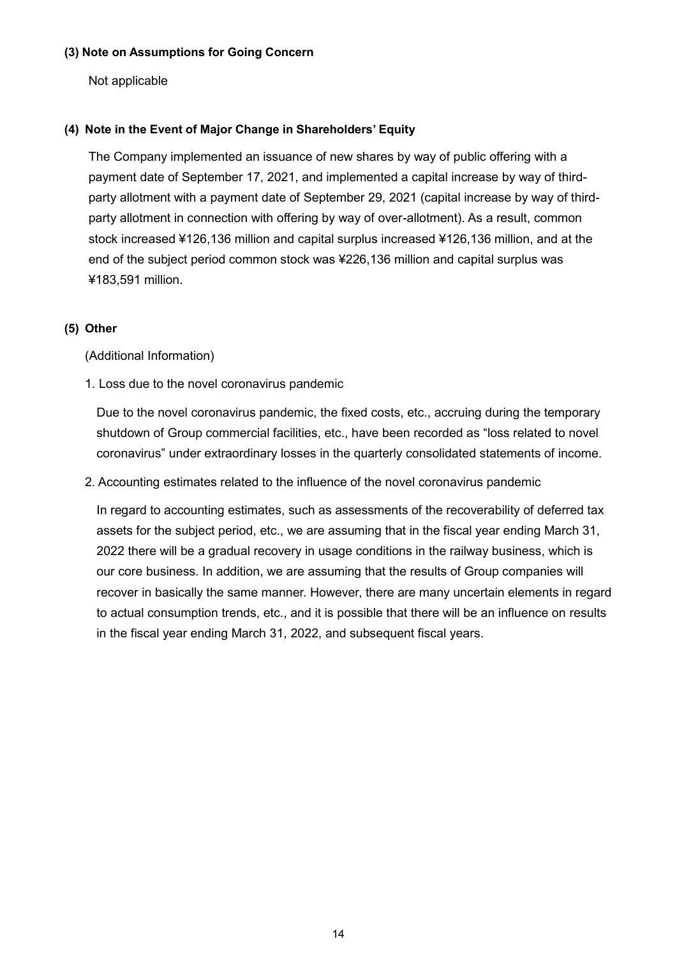### **(3) Note on Assumptions for Going Concern**

Not applicable

### **(4) Note in the Event of Major Change in Shareholders' Equity**

The Company implemented an issuance of new shares by way of public offering with a payment date of September 17, 2021, and implemented a capital increase by way of thirdparty allotment with a payment date of September 29, 2021 (capital increase by way of thirdparty allotment in connection with offering by way of over-allotment). As a result, common stock increased ¥126,136 million and capital surplus increased ¥126,136 million, and at the end of the subject period common stock was ¥226,136 million and capital surplus was ¥183,591 million.

### **(5) Other**

(Additional Information)

1. Loss due to the novel coronavirus pandemic

Due to the novel coronavirus pandemic, the fixed costs, etc., accruing during the temporary shutdown of Group commercial facilities, etc., have been recorded as "loss related to novel coronavirus" under extraordinary losses in the quarterly consolidated statements of income.

2. Accounting estimates related to the influence of the novel coronavirus pandemic

In regard to accounting estimates, such as assessments of the recoverability of deferred tax assets for the subject period, etc., we are assuming that in the fiscal year ending March 31, 2022 there will be a gradual recovery in usage conditions in the railway business, which is our core business. In addition, we are assuming that the results of Group companies will recover in basically the same manner. However, there are many uncertain elements in regard to actual consumption trends, etc., and it is possible that there will be an influence on results in the fiscal year ending March 31, 2022, and subsequent fiscal years.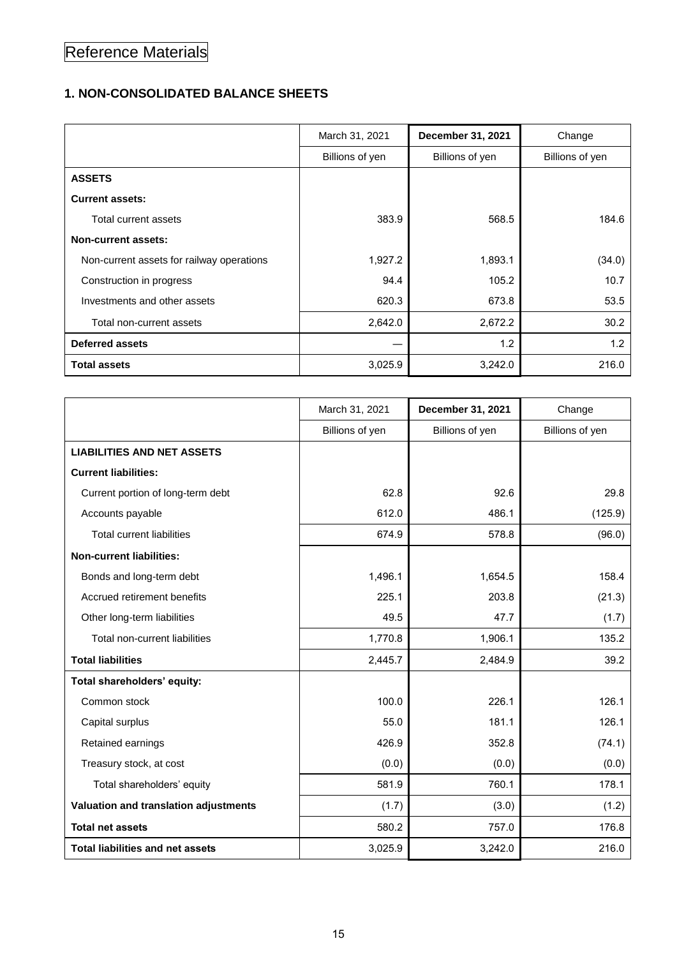# Reference Materials

# **1. NON-CONSOLIDATED BALANCE SHEETS**

|                                           | March 31, 2021  | December 31, 2021 | Change          |
|-------------------------------------------|-----------------|-------------------|-----------------|
|                                           | Billions of yen | Billions of yen   | Billions of yen |
| <b>ASSETS</b>                             |                 |                   |                 |
| <b>Current assets:</b>                    |                 |                   |                 |
| Total current assets                      | 383.9           | 568.5             | 184.6           |
| <b>Non-current assets:</b>                |                 |                   |                 |
| Non-current assets for railway operations | 1,927.2         | 1,893.1           | (34.0)          |
| Construction in progress                  | 94.4            | 105.2             | 10.7            |
| Investments and other assets              | 620.3           | 673.8             | 53.5            |
| Total non-current assets                  | 2,642.0         | 2,672.2           | 30.2            |
| <b>Deferred assets</b>                    |                 | 1.2               | 1.2             |
| <b>Total assets</b>                       | 3,025.9         | 3,242.0           | 216.0           |

|                                         | March 31, 2021  | December 31, 2021 | Change          |
|-----------------------------------------|-----------------|-------------------|-----------------|
|                                         | Billions of yen | Billions of yen   | Billions of yen |
| <b>LIABILITIES AND NET ASSETS</b>       |                 |                   |                 |
| <b>Current liabilities:</b>             |                 |                   |                 |
| Current portion of long-term debt       | 62.8            | 92.6              | 29.8            |
| Accounts payable                        | 612.0           | 486.1             | (125.9)         |
| <b>Total current liabilities</b>        | 674.9           | 578.8             | (96.0)          |
| <b>Non-current liabilities:</b>         |                 |                   |                 |
| Bonds and long-term debt                | 1,496.1         | 1,654.5           | 158.4           |
| Accrued retirement benefits             | 225.1           | 203.8             | (21.3)          |
| Other long-term liabilities             | 49.5            | 47.7              | (1.7)           |
| Total non-current liabilities           | 1,770.8         | 1,906.1           | 135.2           |
| <b>Total liabilities</b>                | 2,445.7         | 2,484.9           | 39.2            |
| Total shareholders' equity:             |                 |                   |                 |
| Common stock                            | 100.0           | 226.1             | 126.1           |
| Capital surplus                         | 55.0            | 181.1             | 126.1           |
| Retained earnings                       | 426.9           | 352.8             | (74.1)          |
| Treasury stock, at cost                 | (0.0)           | (0.0)             | (0.0)           |
| Total shareholders' equity              | 581.9           | 760.1             | 178.1           |
| Valuation and translation adjustments   | (1.7)           | (3.0)             | (1.2)           |
| <b>Total net assets</b>                 | 580.2           | 757.0             | 176.8           |
| <b>Total liabilities and net assets</b> | 3,025.9         | 3,242.0           | 216.0           |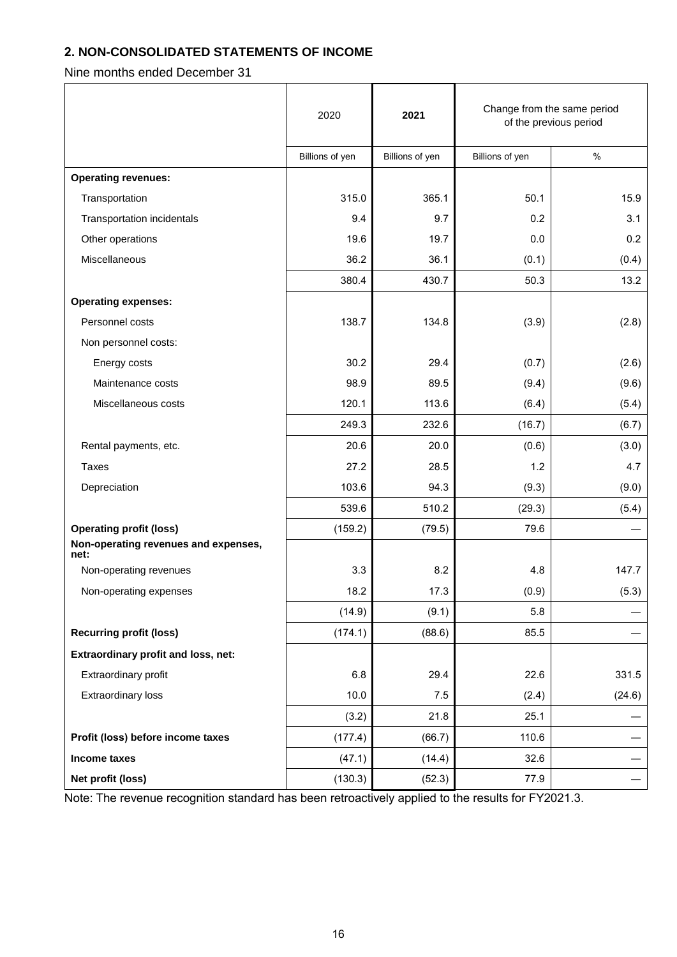# **2. NON-CONSOLIDATED STATEMENTS OF INCOME**

Nine months ended December 31

|                                              | 2020            | 2021            | Change from the same period<br>of the previous period |        |
|----------------------------------------------|-----------------|-----------------|-------------------------------------------------------|--------|
|                                              | Billions of yen | Billions of yen | Billions of yen                                       | $\%$   |
| <b>Operating revenues:</b>                   |                 |                 |                                                       |        |
| Transportation                               | 315.0           | 365.1           | 50.1                                                  | 15.9   |
| Transportation incidentals                   | 9.4             | 9.7             | 0.2                                                   | 3.1    |
| Other operations                             | 19.6            | 19.7            | 0.0                                                   | 0.2    |
| Miscellaneous                                | 36.2            | 36.1            | (0.1)                                                 | (0.4)  |
|                                              | 380.4           | 430.7           | 50.3                                                  | 13.2   |
| <b>Operating expenses:</b>                   |                 |                 |                                                       |        |
| Personnel costs                              | 138.7           | 134.8           | (3.9)                                                 | (2.8)  |
| Non personnel costs:                         |                 |                 |                                                       |        |
| Energy costs                                 | 30.2            | 29.4            | (0.7)                                                 | (2.6)  |
| Maintenance costs                            | 98.9            | 89.5            | (9.4)                                                 | (9.6)  |
| Miscellaneous costs                          | 120.1           | 113.6           | (6.4)                                                 | (5.4)  |
|                                              | 249.3           | 232.6           | (16.7)                                                | (6.7)  |
| Rental payments, etc.                        | 20.6            | 20.0            | (0.6)                                                 | (3.0)  |
| <b>Taxes</b>                                 | 27.2            | 28.5            | 1.2                                                   | 4.7    |
| Depreciation                                 | 103.6           | 94.3            | (9.3)                                                 | (9.0)  |
|                                              | 539.6           | 510.2           | (29.3)                                                | (5.4)  |
| <b>Operating profit (loss)</b>               | (159.2)         | (79.5)          | 79.6                                                  |        |
| Non-operating revenues and expenses,<br>net: |                 |                 |                                                       |        |
| Non-operating revenues                       | 3.3             | 8.2             | 4.8                                                   | 147.7  |
| Non-operating expenses                       | 18.2            | 17.3            | (0.9)                                                 | (5.3)  |
|                                              | (14.9)          | (9.1)           | 5.8                                                   |        |
| <b>Recurring profit (loss)</b>               | (174.1)         | (88.6)          | 85.5                                                  |        |
| Extraordinary profit and loss, net:          |                 |                 |                                                       |        |
| Extraordinary profit                         | 6.8             | 29.4            | 22.6                                                  | 331.5  |
| <b>Extraordinary loss</b>                    | 10.0            | 7.5             | (2.4)                                                 | (24.6) |
|                                              | (3.2)           | 21.8            | 25.1                                                  |        |
| Profit (loss) before income taxes            | (177.4)         | (66.7)          | 110.6                                                 |        |
| Income taxes                                 | (47.1)          | (14.4)          | 32.6                                                  |        |
| Net profit (loss)                            | (130.3)         | (52.3)          | 77.9                                                  |        |

Note: The revenue recognition standard has been retroactively applied to the results for FY2021.3.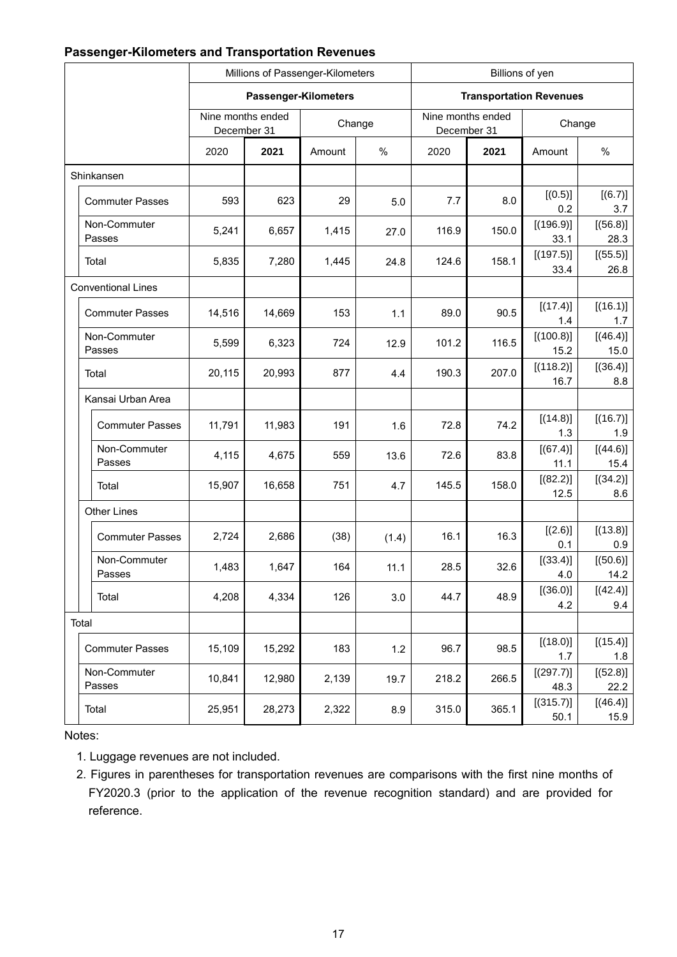# **Passenger-Kilometers and Transportation Revenues**

|                           | Millions of Passenger-Kilometers |        | Billions of yen                |        |                                  |       |                   |                  |  |
|---------------------------|----------------------------------|--------|--------------------------------|--------|----------------------------------|-------|-------------------|------------------|--|
|                           | Passenger-Kilometers             |        | <b>Transportation Revenues</b> |        |                                  |       |                   |                  |  |
|                           | Nine months ended<br>December 31 |        |                                | Change | Nine months ended<br>December 31 |       |                   | Change           |  |
|                           | 2020                             | 2021   | Amount                         | %      | 2020                             | 2021  | Amount            | $\%$             |  |
| Shinkansen                |                                  |        |                                |        |                                  |       |                   |                  |  |
| <b>Commuter Passes</b>    | 593                              | 623    | 29                             | 5.0    | 7.7                              | 8.0   | [(0.5)]<br>0.2    | [(6.7)]<br>3.7   |  |
| Non-Commuter<br>Passes    | 5,241                            | 6,657  | 1,415                          | 27.0   | 116.9                            | 150.0 | [(196.9)]<br>33.1 | [(56.8)]<br>28.3 |  |
| Total                     | 5,835                            | 7,280  | 1,445                          | 24.8   | 124.6                            | 158.1 | [(197.5)]<br>33.4 | [(55.5)]<br>26.8 |  |
| <b>Conventional Lines</b> |                                  |        |                                |        |                                  |       |                   |                  |  |
| <b>Commuter Passes</b>    | 14,516                           | 14,669 | 153                            | 1.1    | 89.0                             | 90.5  | [(17.4)]<br>1.4   | [(16.1)]<br>1.7  |  |
| Non-Commuter<br>Passes    | 5,599                            | 6,323  | 724                            | 12.9   | 101.2                            | 116.5 | [(100.8)]<br>15.2 | [(46.4)]<br>15.0 |  |
| Total                     | 20,115                           | 20,993 | 877                            | 4.4    | 190.3                            | 207.0 | [(118.2)]<br>16.7 | [(36.4)]<br>8.8  |  |
| Kansai Urban Area         |                                  |        |                                |        |                                  |       |                   |                  |  |
| <b>Commuter Passes</b>    | 11,791                           | 11,983 | 191                            | 1.6    | 72.8                             | 74.2  | [(14.8)]<br>1.3   | [(16.7)]<br>1.9  |  |
| Non-Commuter<br>Passes    | 4,115                            | 4,675  | 559                            | 13.6   | 72.6                             | 83.8  | [(67.4)]<br>11.1  | [(44.6)]<br>15.4 |  |
| Total                     | 15,907                           | 16,658 | 751                            | 4.7    | 145.5                            | 158.0 | [(82.2)]<br>12.5  | [(34.2)]<br>8.6  |  |
| <b>Other Lines</b>        |                                  |        |                                |        |                                  |       |                   |                  |  |
| <b>Commuter Passes</b>    | 2,724                            | 2,686  | (38)                           | (1.4)  | 16.1                             | 16.3  | [(2.6)]<br>0.1    | [(13.8)]<br>0.9  |  |
| Non-Commuter<br>Passes    | 1,483                            | 1,647  | 164                            | 11.1   | 28.5                             | 32.6  | [(33.4)]<br>4.0   | [(50.6)]<br>14.2 |  |
| Total                     | 4,208                            | 4,334  | 126                            | 3.0    | 44.7                             | 48.9  | [(36.0)]<br>4.2   | [(42.4)]<br>9.4  |  |
| Total                     |                                  |        |                                |        |                                  |       |                   |                  |  |
| <b>Commuter Passes</b>    | 15,109                           | 15,292 | 183                            | 1.2    | 96.7                             | 98.5  | [(18.0)]<br>1.7   | [(15.4)]<br>1.8  |  |
| Non-Commuter<br>Passes    | 10,841                           | 12,980 | 2,139                          | 19.7   | 218.2                            | 266.5 | [(297.7)]<br>48.3 | [(52.8)]<br>22.2 |  |
| Total                     | 25,951                           | 28,273 | 2,322                          | 8.9    | 315.0                            | 365.1 | [(315.7)]<br>50.1 | [(46.4)]<br>15.9 |  |

Notes:

1. Luggage revenues are not included.

2. Figures in parentheses for transportation revenues are comparisons with the first nine months of FY2020.3 (prior to the application of the revenue recognition standard) and are provided for reference.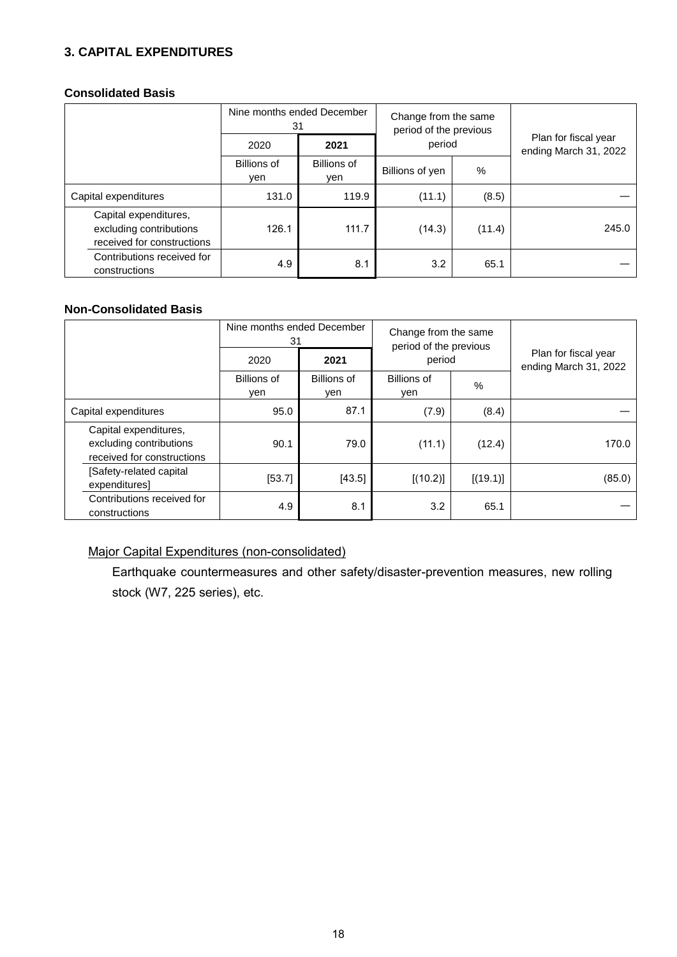# **3. CAPITAL EXPENDITURES**

### **Consolidated Basis**

|                                                                                | Nine months ended December<br>31 |                           | Change from the same<br>period of the previous |        |                                               |  |
|--------------------------------------------------------------------------------|----------------------------------|---------------------------|------------------------------------------------|--------|-----------------------------------------------|--|
|                                                                                | 2020                             | 2021                      | period<br>%<br>Billions of yen                 |        | Plan for fiscal year<br>ending March 31, 2022 |  |
|                                                                                | Billions of<br>ven               | <b>Billions of</b><br>ven |                                                |        |                                               |  |
| Capital expenditures                                                           | 131.0                            | 119.9                     | (11.1)                                         | (8.5)  |                                               |  |
| Capital expenditures,<br>excluding contributions<br>received for constructions | 126.1                            | 111.7                     | (14.3)                                         | (11.4) | 245.0                                         |  |
| Contributions received for<br>constructions                                    | 4.9                              | 8.1                       | 3.2                                            | 65.1   |                                               |  |

# **Non-Consolidated Basis**

|                                                                                | Nine months ended December<br>31 |                    | Change from the same<br>period of the previous<br>period |          |                                               |  |
|--------------------------------------------------------------------------------|----------------------------------|--------------------|----------------------------------------------------------|----------|-----------------------------------------------|--|
|                                                                                | 2020                             | 2021               |                                                          |          | Plan for fiscal year<br>ending March 31, 2022 |  |
|                                                                                | <b>Billions of</b><br>yen        | Billions of<br>yen | Billions of<br>yen                                       | %        |                                               |  |
| Capital expenditures                                                           | 95.0                             | 87.1               | (7.9)                                                    | (8.4)    |                                               |  |
| Capital expenditures,<br>excluding contributions<br>received for constructions | 90.1                             | 79.0               | (11.1)                                                   | (12.4)   | 170.0                                         |  |
| [Safety-related capital<br>expenditures]                                       | [53.7]                           | [43.5]             | [(10.2)]                                                 | [(19.1)] | (85.0)                                        |  |
| Contributions received for<br>constructions                                    | 4.9                              | 8.1                | 3.2                                                      | 65.1     |                                               |  |

# Major Capital Expenditures (non-consolidated)

Earthquake countermeasures and other safety/disaster-prevention measures, new rolling stock (W7, 225 series), etc.